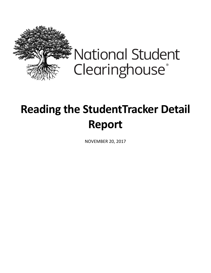

## **Reading the StudentTracker Detail Report**

NOVEMBER 20, 2017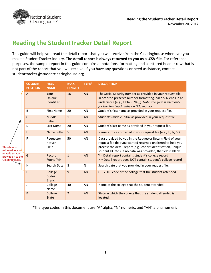

## **Reading the StudentTracker Detail Report**

This guide will help you read the detail report that you will receive from the Clearinghouse whenever you make a StudentTracker inquiry. **The detail report is always returned to you as a .CSV file**. For reference purposes, the sample report in this guide contains annotations, formatting and a lettered header row that is not part of the report that you will receive. If you have any questions or need assistance, contact [studenttracker@studentclearinghouse.org.](mailto:studenttracker@studentclearinghouse.org)

|                                                        | <b>COLUMN</b><br><b>POSITION</b> | <b>FIELD</b><br><b>NAME</b>       | MAX.<br><b>LENGTH</b> | TYPE*        | <b>DESCRIPTION</b>                                                                                                                                                                                                                                             |
|--------------------------------------------------------|----------------------------------|-----------------------------------|-----------------------|--------------|----------------------------------------------------------------------------------------------------------------------------------------------------------------------------------------------------------------------------------------------------------------|
|                                                        | $\overline{A}$                   | Your<br>Unique<br>Identifier      | 16                    | AN           | The Social Security number as provided in your request file.<br>In order to preserve number formatting, each SSN ends in an<br>underscore (e.g., 123456789). Note: this field is used only<br>for the Pending Admission (PA) inquiry.                          |
|                                                        | B                                | <b>First Name</b>                 | 20                    | AN           | Student's first name as provided in your request file.                                                                                                                                                                                                         |
|                                                        | C                                | Middle<br><b>Initial</b>          | $\mathbf{1}$          | AN           | Student's middle initial as provided in your request file.                                                                                                                                                                                                     |
|                                                        | D                                | Last Name                         | 20                    | AN           | Student's last name as provided in your request file.                                                                                                                                                                                                          |
|                                                        | E                                | Name Suffix                       | 5                     | AN           | Name suffix as provided in your request file (e.g., III, Jr, Sr).                                                                                                                                                                                              |
| This data is<br>returned to you                        | F                                | Requestor<br>Return<br>Field      | 50                    | AN           | Data provided by you in the Requestor Return Field of your<br>request file that you wanted returned unaltered to help you<br>process the detail report (e.g., cohort identification, unique<br>student ID, etc.). If no data was provided, the field is blank. |
| exactly as you<br>provided it to the<br>Clearinghouse. | G                                | Record<br>Found Y/N               | $\mathbf{1}$          | AN           | Y = Detail report contains student's college record<br>N = Detail report does NOT contain student's college record                                                                                                                                             |
|                                                        | H                                | Search Date                       | 8                     | $\mathsf{N}$ | Search date that you provided in your request file.                                                                                                                                                                                                            |
|                                                        |                                  | College<br>Code/<br><b>Branch</b> | 9                     | AN           | OPE/FICE code of the college that the student attended.                                                                                                                                                                                                        |
|                                                        | J                                | College<br>Name                   | 40                    | AN           | Name of the college that the student attended.                                                                                                                                                                                                                 |
|                                                        | K                                | College<br><b>State</b>           | $\overline{2}$        | AN           | State in which the college that the student attended is<br>located.                                                                                                                                                                                            |

\*The type codes in this document are "A" alpha, "N" numeric, and "AN" alpha numeric.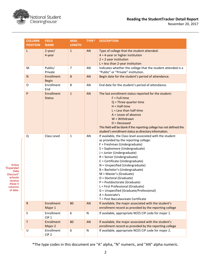

Active "Expanded Data Discount" schools receive these 5 columns of data.

| November 20, 2017 |  |  |
|-------------------|--|--|
|-------------------|--|--|

| <b>COLUMN</b><br><b>POSITION</b> | <b>FIELD</b><br><b>NAME</b>       | MAX.<br><b>LENGTH</b> | TYPE*     | <b>DESCRIPTION</b>                                                                                                                                                                                                                                                                                                                                                                                                                                                                                                                                                       |
|----------------------------------|-----------------------------------|-----------------------|-----------|--------------------------------------------------------------------------------------------------------------------------------------------------------------------------------------------------------------------------------------------------------------------------------------------------------------------------------------------------------------------------------------------------------------------------------------------------------------------------------------------------------------------------------------------------------------------------|
| L                                | $2$ -year/<br>4-year              | $\mathbf{1}$          | <b>AN</b> | Type of college that the student attended:<br>$4 = 4$ -year or higher institution<br>$2 = 2$ -year institution<br>$L =$ less than 2-year institution                                                                                                                                                                                                                                                                                                                                                                                                                     |
| M                                | Public/<br>Private                | $\overline{7}$        | AN        | Indicates whether the college that the student attended is a<br>"Public" or "Private" institution.                                                                                                                                                                                                                                                                                                                                                                                                                                                                       |
| N                                | <b>Enrollment</b><br><b>Begin</b> | 8                     | <b>AN</b> | Begin date for the student's period of attendance.                                                                                                                                                                                                                                                                                                                                                                                                                                                                                                                       |
| O                                | Enrollment<br>End                 | 8                     | AN        | End date for the student's period of attendance.                                                                                                                                                                                                                                                                                                                                                                                                                                                                                                                         |
| P                                | Enrollment<br><b>Status</b>       | $\mathbf{1}$          | <b>AN</b> | The last enrollment status reported for the student:<br>$F = Full-time$<br>$Q$ = Three-quarter time<br>$H = Half-time$<br>$L =$ Less than half-time<br>$A =$ Leave of absence<br>$W = With drawn$<br>$D = Deceased$<br>This field will be blank if the reporting college has not defined the<br>student's enrollment status as directory information.                                                                                                                                                                                                                    |
| Q                                | Class Level                       | $\mathbf{1}$          | AN        | If available, the Class level associated with the student<br>as provided by the reporting college:<br>F = Freshman (Undergraduate)<br>S = Sophomore (Undergraduate)<br>J = Junior (Undergraduate)<br>R = Senior (Undergraduate)<br>C = Certificate (Undergraduate)<br>N = Unspecified (Undergraduate)<br>B = Bachelor's (Undergraduate)<br>M = Master's (Graduate)<br>D = Doctoral (Graduate)<br>P = Postdoctorate (Graduate)<br>L = First Professional (Graduate)<br>G = Unspecified (Graduate/Professional)<br>$A = Associate's$<br>T = Post Baccalaureate Certificate |
| $\mathsf{R}$                     | Enrollment<br>Major 1             | 80                    | <b>AN</b> | If available, the major associated with the student's<br>enrollment record as provided by the reporting college                                                                                                                                                                                                                                                                                                                                                                                                                                                          |
| S                                | Enrollment<br>CIP <sub>1</sub>    | 6                     | N         | If available, appropriate NCES CIP code for major 1.                                                                                                                                                                                                                                                                                                                                                                                                                                                                                                                     |
| Τ                                | Enrollment<br>Major 2             | 80                    | <b>AN</b> | If available, the major associated with the student's<br>enrollment record as provided by the reporting college                                                                                                                                                                                                                                                                                                                                                                                                                                                          |
| U                                | Enrollment<br>CIP <sub>2</sub>    | 6                     | N         | If available, appropriate NCES CIP code for major 2.                                                                                                                                                                                                                                                                                                                                                                                                                                                                                                                     |

\*The type codes in this document are "A" alpha, "N" numeric, and "AN" alpha numeric.